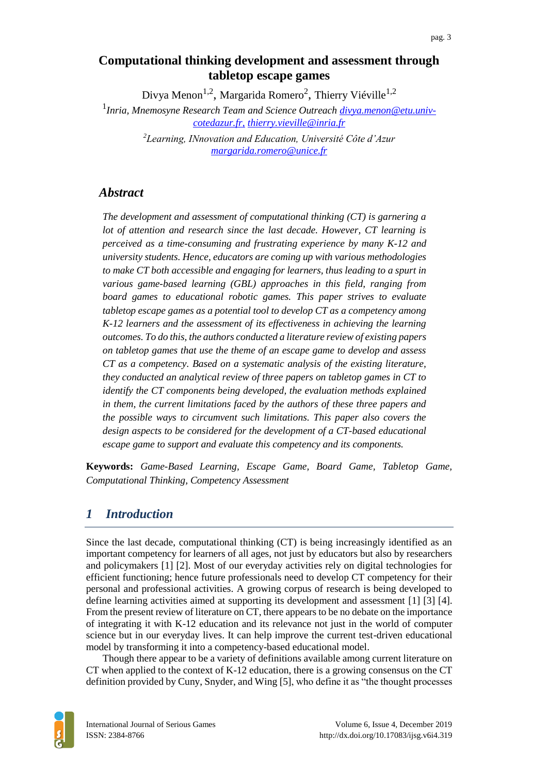## **Computational thinking development and assessment through tabletop escape games**

Divya Menon<sup>1,2</sup>, Margarida Romero<sup>2</sup>, Thierry Viéville<sup>1,2</sup> 1 *Inria, Mnemosyne Research Team and Science Outreach [divya.menon@etu.univ](mailto:divya.menon@etu.univ-cotedazur.fr)[cotedazur.fr,](mailto:divya.menon@etu.univ-cotedazur.fr) [thierry.vieville@inria.fr](mailto:thierry.vieville@inria.fr) <sup>2</sup>Learning, INnovation and Education, Université Côte d'Azur [margarida.romero@unice.fr](mailto:margarida.romero@unice.fr)*

### *Abstract*

*The development and assessment of computational thinking (CT) is garnering a lot of attention and research since the last decade. However, CT learning is perceived as a time-consuming and frustrating experience by many K-12 and university students. Hence, educators are coming up with various methodologies to make CT both accessible and engaging for learners, thus leading to a spurt in various game-based learning (GBL) approaches in this field, ranging from board games to educational robotic games. This paper strives to evaluate tabletop escape games as a potential tool to develop CT as a competency among K-12 learners and the assessment of its effectiveness in achieving the learning outcomes. To do this, the authors conducted a literature review of existing papers on tabletop games that use the theme of an escape game to develop and assess CT as a competency. Based on a systematic analysis of the existing literature, they conducted an analytical review of three papers on tabletop games in CT to identify the CT components being developed, the evaluation methods explained in them, the current limitations faced by the authors of these three papers and the possible ways to circumvent such limitations. This paper also covers the design aspects to be considered for the development of a CT-based educational escape game to support and evaluate this competency and its components.*

**Keywords:** *Game-Based Learning, Escape Game, Board Game, Tabletop Game, Computational Thinking, Competency Assessment*

### *1 Introduction*

Since the last decade, computational thinking (CT) is being increasingly identified as an important competency for learners of all ages, not just by educators but also by researchers and policymakers [\[1\]](https://www.zotero.org/google-docs/?N4EdZA) [\[2\].](https://www.zotero.org/google-docs/?dauiMl) Most of our everyday activities rely on digital technologies for efficient functioning; hence future professionals need to develop CT competency for their personal and professional activities. A growing corpus of research is being developed to define learning activities aimed at supporting its development and assessment [\[1\]](https://www.zotero.org/google-docs/?MtIIzJ) [\[3\]](https://www.zotero.org/google-docs/?AQTRvO) [\[4\].](https://www.zotero.org/google-docs/?BK9K6B) From the present review of literature on CT, there appears to be no debate on the importance of integrating it with K-12 education and its relevance not just in the world of computer science but in our everyday lives. It can help improve the current test-driven educational model by transforming it into a competency-based educational model.

Though there appear to be a variety of definitions available among current literature on CT when applied to the context of K-12 education, there is a growing consensus on the CT definition provided by Cuny, Snyder, and Wing [\[5\],](https://www.zotero.org/google-docs/?pxGdOh) who define it as "the thought processes

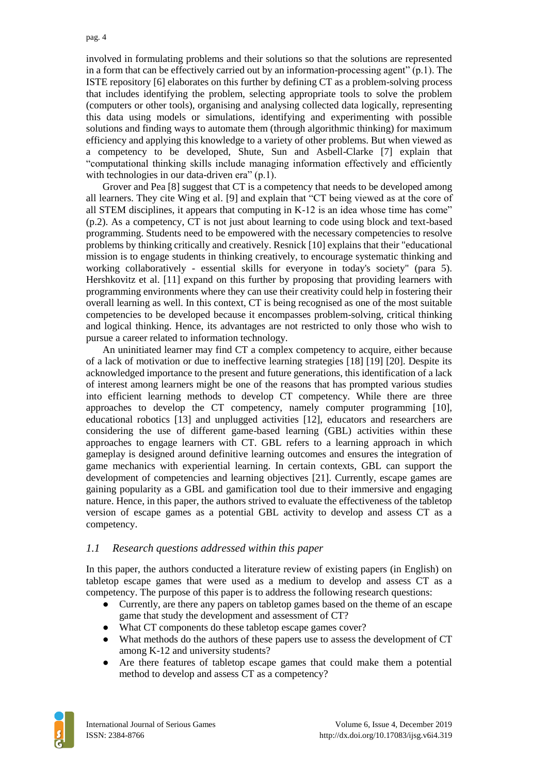involved in formulating problems and their solutions so that the solutions are represented in a form that can be effectively carried out by an information-processing agent" (p.1). The ISTE repositor[y \[6\]](https://www.zotero.org/google-docs/?P7BQK2) elaborates on this further by defining CT as a problem-solving process that includes identifying the problem, selecting appropriate tools to solve the problem (computers or other tools), organising and analysing collected data logically, representing this data using models or simulations, identifying and experimenting with possible solutions and finding ways to automate them (through algorithmic thinking) for maximum efficiency and applying this knowledge to a variety of other problems. But when viewed as a competency to be developed, Shute, Sun and Asbell-Clarke [\[7\]](https://www.zotero.org/google-docs/?3qwZdT) explain that "computational thinking skills include managing information effectively and efficiently with technologies in our data-driven era" (p.1).

Grover and Pea [\[8\]](https://www.zotero.org/google-docs/?nhZbsj) suggest that CT is a competency that needs to be developed among all learners. They cite Wing et al. [\[9\]](https://www.zotero.org/google-docs/?7Axymv) and explain that "CT being viewed as at the core of all STEM disciplines, it appears that computing in K-12 is an idea whose time has come" (p.2). As a competency, CT is not just about learning to code using block and text-based programming. Students need to be empowered with the necessary competencies to resolve problems by thinking critically and creatively. Resnic[k \[10\]](https://www.zotero.org/google-docs/?ziEUmt) explains that their "educational mission is to engage students in thinking creatively, to encourage systematic thinking and working collaboratively - essential skills for everyone in today's society" (para 5). Hershkovitz et al. [\[11\]](https://www.zotero.org/google-docs/?jq6bW0) expand on this further by proposing that providing learners with programming environments where they can use their creativity could help in fostering their overall learning as well. In this context, CT is being recognised as one of the most suitable competencies to be developed because it encompasses problem-solving, critical thinking and logical thinking. Hence, its advantages are not restricted to only those who wish to pursue a career related to information technology.

An uninitiated learner may find CT a complex competency to acquire, either because of a lack of motivation or due to ineffective learning strategies [18] [19] [20]. Despite its acknowledged importance to the present and future generations, this identification of a lack of interest among learners might be one of the reasons that has prompted various studies into efficient learning methods to develop CT competency. While there are three approaches to develop the CT competency, namely computer programming [10], educational robotics [13] and unplugged activities [12], educators and researchers are considering the use of different game-based learning (GBL) activities within these approaches to engage learners with CT. GBL refers to a learning approach in which gameplay is designed around definitive learning outcomes and ensures the integration of game mechanics with experiential learning. In certain contexts, GBL can support the development of competencies and learning objectives [21]. Currently, escape games are gaining popularity as a GBL and gamification tool due to their immersive and engaging nature. Hence, in this paper, the authors strived to evaluate the effectiveness of the tabletop version of escape games as a potential GBL activity to develop and assess CT as a competency.

#### *1.1 Research questions addressed within this paper*

In this paper, the authors conducted a literature review of existing papers (in English) on tabletop escape games that were used as a medium to develop and assess CT as a competency. The purpose of this paper is to address the following research questions:

- Currently, are there any papers on tabletop games based on the theme of an escape game that study the development and assessment of CT?
- What CT components do these tabletop escape games cover?
- What methods do the authors of these papers use to assess the development of CT among K-12 and university students?
- Are there features of tabletop escape games that could make them a potential method to develop and assess CT as a competency?

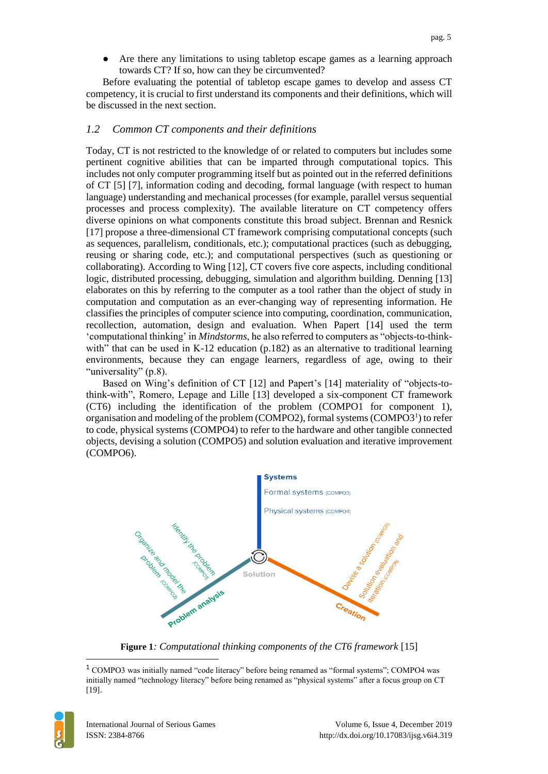Are there any limitations to using tabletop escape games as a learning approach towards CT? If so, how can they be circumvented?

Before evaluating the potential of tabletop escape games to develop and assess CT competency, it is crucial to first understand its components and their definitions, which will be discussed in the next section.

#### *1.2 Common CT components and their definitions*

Today, CT is not restricted to the knowledge of or related to computers but includes some pertinent cognitive abilities that can be imparted through computational topics. This includes not only computer programming itself but as pointed out in the referred definitions of CT [\[5\]](https://www.zotero.org/google-docs/?FwNymH) [\[7\],](https://www.zotero.org/google-docs/?Im5faS) information coding and decoding, formal language (with respect to human language) understanding and mechanical processes (for example, parallel versus sequential processes and process complexity). The available literature on CT competency offers diverse opinions on what components constitute this broad subject. Brennan and Resnick [17] propose a three-dimensional CT framework comprising computational concepts (such as sequences, parallelism, conditionals, etc.); computational practices (such as debugging, reusing or sharing code, etc.); and computational perspectives (such as questioning or collaborating). According to Wing [\[12\],](https://www.zotero.org/google-docs/?rfUAYb) CT covers five core aspects, including conditional logic, distributed processing, debugging, simulation and algorithm building. Denning [\[13\]](https://www.zotero.org/google-docs/?UGtpMh) elaborates on this by referring to the computer as a tool rather than the object of study in computation and computation as an ever-changing way of representing information. He classifies the principles of computer science into computing, coordination, communication, recollection, automation, design and evaluation. When Papert [\[14\]](https://www.zotero.org/google-docs/?xWQZQI) used the term 'computational thinking' in *Mindstorms*, he also referred to computers as "objects-to-thinkwith" that can be used in K-12 education (p.182) as an alternative to traditional learning environments, because they can engage learners, regardless of age, owing to their "universality" (p.8).

Based on Wing's definition of CT [\[12\]](https://www.zotero.org/google-docs/?7Ojmjh) and Papert's [\[14\]](https://www.zotero.org/google-docs/?LtdfOP) materiality of "objects-tothink-with", Romero, Lepage and Lille [13] developed a six-component CT framework (CT6) including the identification of the problem (COMPO1 for component 1), organisation and modeling of the problem (COMPO2), formal systems (COMPO3<sup>1</sup>) to refer to code, physical systems (COMPO4) to refer to the hardware and other tangible connected objects, devising a solution (COMPO5) and solution evaluation and iterative improvement (COMPO6).



**Figure 1***: Computational thinking components of the CT6 framework* [\[15\]](https://www.zotero.org/google-docs/?tEVEX5)

<sup>1</sup> COMPO3 was initially named "code literacy" before being renamed as "formal systems"; COMPO4 was initially named "technology literacy" before being renamed as "physical systems" after a focus group on CT [19].



 $\overline{a}$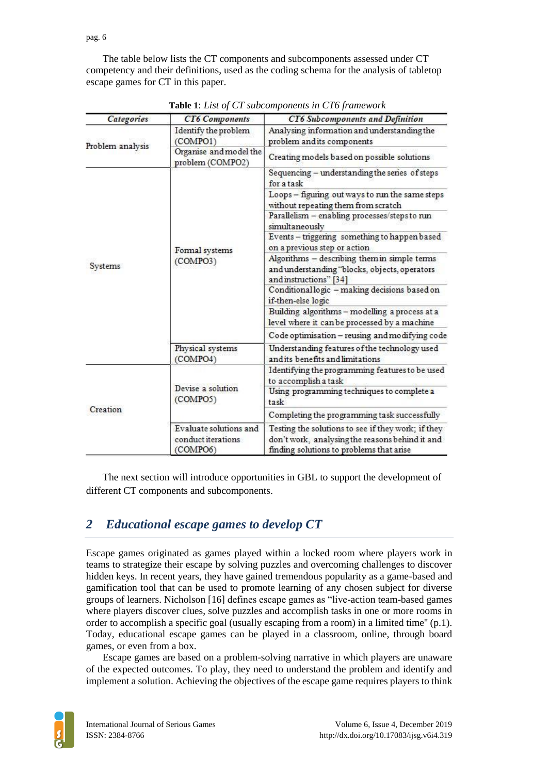pag. 6

The table below lists the CT components and subcomponents assessed under CT competency and their definitions, used as the coding schema for the analysis of tabletop escape games for CT in this paper.

| Categories       | <b>CT6</b> Components                                    | <b>CT6 Subcomponents and Definition</b>                                                                                                           |
|------------------|----------------------------------------------------------|---------------------------------------------------------------------------------------------------------------------------------------------------|
| Problem analysis | Identify the problem<br>(COMPO1)                         | Analysing information and understanding the<br>problem and its components                                                                         |
|                  | Organise and model the<br>problem (COMPO2)               | Creating models based on possible solutions                                                                                                       |
|                  |                                                          | Sequencing - understanding the series of steps<br>for a task                                                                                      |
|                  | Formal systems<br>(COMPO3)                               | Loops - figuring out ways to run the same steps<br>without repeating them from scratch                                                            |
|                  |                                                          | Parallelism - enabling processes/steps to run<br>simultaneously                                                                                   |
| Systems          |                                                          | Events - triggering something to happen based<br>on a previous step or action                                                                     |
|                  |                                                          | Algorithms - describing them in simple terms<br>and understanding "blocks, objects, operators<br>and instructions" [34]                           |
|                  |                                                          | Conditionallogic - making decisions based on<br>if-then-else logic                                                                                |
|                  |                                                          | Building algorithms - modelling a process at a<br>level where it can be processed by a machine                                                    |
|                  |                                                          | Code optimisation - reusing and modifying code                                                                                                    |
|                  | Physical systems<br>(COMPO4)                             | Understanding features of the technology used<br>and its benefits and limitations                                                                 |
|                  | Devise a solution<br>(COMPO5)                            | Identifying the programming features to be used<br>to accomplish a task                                                                           |
| Creation         |                                                          | Using programming techniques to complete a<br>task                                                                                                |
|                  |                                                          | Completing the programming task successfully                                                                                                      |
|                  | Evaluate solutions and<br>conduct iterations<br>(COMPO6) | Testing the solutions to see if they work; if they<br>don't work, analysing the reasons behind it and<br>finding solutions to problems that arise |

**Table 1**: *List of CT subcomponents in CT6 framework*

The next section will introduce opportunities in GBL to support the development of different CT components and subcomponents.

# *2 Educational escape games to develop CT*

Escape games originated as games played within a locked room where players work in teams to strategize their escape by solving puzzles and overcoming challenges to discover hidden keys. In recent years, they have gained tremendous popularity as a game-based and gamification tool that can be used to promote learning of any chosen subject for diverse groups of learners. Nicholson [\[16\]](https://www.zotero.org/google-docs/?onH6dX) defines escape games as "live-action team-based games where players discover clues, solve puzzles and accomplish tasks in one or more rooms in order to accomplish a specific goal (usually escaping from a room) in a limited time'' (p.1). Today, educational escape games can be played in a classroom, online, through board games, or even from a box.

Escape games are based on a problem-solving narrative in which players are unaware of the expected outcomes. To play, they need to understand the problem and identify and implement a solution. Achieving the objectives of the escape game requires players to think

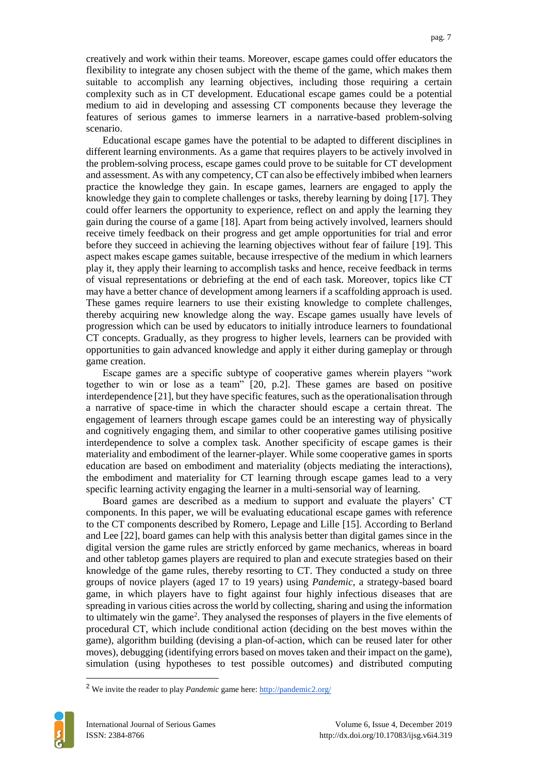creatively and work within their teams. Moreover, escape games could offer educators the flexibility to integrate any chosen subject with the theme of the game, which makes them suitable to accomplish any learning objectives, including those requiring a certain complexity such as in CT development. Educational escape games could be a potential medium to aid in developing and assessing CT components because they leverage the features of serious games to immerse learners in a narrative-based problem-solving scenario.

Educational escape games have the potential to be adapted to different disciplines in different learning environments. As a game that requires players to be actively involved in the problem-solving process, escape games could prove to be suitable for CT development and assessment. As with any competency, CT can also be effectively imbibed when learners practice the knowledge they gain. In escape games, learners are engaged to apply the knowledge they gain to complete challenges or tasks, thereby learning by doing [\[17\].](https://www.zotero.org/google-docs/?VCZUPn) They could offer learners the opportunity to experience, reflect on and apply the learning they gain during the course of a game [\[18\].](https://www.zotero.org/google-docs/?KwLxlP) Apart from being actively involved, learners should receive timely feedback on their progress and get ample opportunities for trial and error before they succeed in achieving the learning objectives without fear of failure [\[19\].](https://www.zotero.org/google-docs/?DEvaZm) This aspect makes escape games suitable, because irrespective of the medium in which learners play it, they apply their learning to accomplish tasks and hence, receive feedback in terms of visual representations or debriefing at the end of each task. Moreover, topics like CT may have a better chance of development among learners if a scaffolding approach is used. These games require learners to use their existing knowledge to complete challenges, thereby acquiring new knowledge along the way. Escape games usually have levels of progression which can be used by educators to initially introduce learners to foundational CT concepts. Gradually, as they progress to higher levels, learners can be provided with opportunities to gain advanced knowledge and apply it either during gameplay or through game creation.

Escape games are a specific subtype of cooperative games wherein players "work together to win or lose as a team" [\[20,](https://www.zotero.org/google-docs/?CSLn99) p.2]. These games are based on positive interdependence [\[21\],](https://www.zotero.org/google-docs/?r5Qt69) but they have specific features, such as the operationalisation through a narrative of space-time in which the character should escape a certain threat. The engagement of learners through escape games could be an interesting way of physically and cognitively engaging them, and similar to other cooperative games utilising positive interdependence to solve a complex task. Another specificity of escape games is their materiality and embodiment of the learner-player. While some cooperative games in sports education are based on embodiment and materiality (objects mediating the interactions), the embodiment and materiality for CT learning through escape games lead to a very specific learning activity engaging the learner in a multi-sensorial way of learning.

Board games are described as a medium to support and evaluate the players' CT components. In this paper, we will be evaluating educational escape games with reference to the CT components described by Romero, Lepage and Lille [\[15\].](https://www.zotero.org/google-docs/?eeT2hv) According to Berland and Lee [\[22\],](https://www.zotero.org/google-docs/?C5xYSW) board games can help with this analysis better than digital games since in the digital version the game rules are strictly enforced by game mechanics, whereas in board and other tabletop games players are required to plan and execute strategies based on their knowledge of the game rules, thereby resorting to CT. They conducted a study on three groups of novice players (aged 17 to 19 years) using *Pandemic*, a strategy-based board game, in which players have to fight against four highly infectious diseases that are spreading in various cities across the world by collecting, sharing and using the information to ultimately win the game<sup>2</sup>. They analysed the responses of players in the five elements of procedural CT, which include conditional action (deciding on the best moves within the game), algorithm building (devising a plan-of-action, which can be reused later for other moves), debugging (identifying errors based on moves taken and their impact on the game), simulation (using hypotheses to test possible outcomes) and distributed computing

<sup>2</sup> We invite the reader to play *Pandemic* game here:<http://pandemic2.org/>



 $\overline{a}$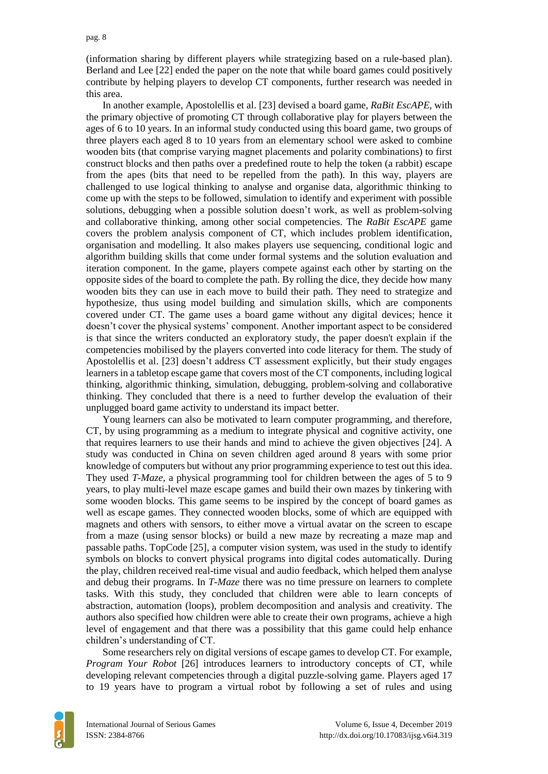(information sharing by different players while strategizing based on a rule-based plan). Berland and Lee [\[22\]](https://www.zotero.org/google-docs/?XbDBxY) ended the paper on the note that while board games could positively contribute by helping players to develop CT components, further research was needed in this area.

In another example, Apostolellis et al. [\[23\]](https://www.zotero.org/google-docs/?fDBadU) devised a board game, *RaBit EscAPE*, with the primary objective of promoting CT through collaborative play for players between the ages of 6 to 10 years. In an informal study conducted using this board game, two groups of three players each aged 8 to 10 years from an elementary school were asked to combine wooden bits (that comprise varying magnet placements and polarity combinations) to first construct blocks and then paths over a predefined route to help the token (a rabbit) escape from the apes (bits that need to be repelled from the path). In this way, players are challenged to use logical thinking to analyse and organise data, algorithmic thinking to come up with the steps to be followed, simulation to identify and experiment with possible solutions, debugging when a possible solution doesn't work, as well as problem-solving and collaborative thinking, among other social competencies. The *RaBit EscAPE* game covers the problem analysis component of CT, which includes problem identification, organisation and modelling. It also makes players use sequencing, conditional logic and algorithm building skills that come under formal systems and the solution evaluation and iteration component. In the game, players compete against each other by starting on the opposite sides of the board to complete the path. By rolling the dice, they decide how many wooden bits they can use in each move to build their path. They need to strategize and hypothesize, thus using model building and simulation skills, which are components covered under CT. The game uses a board game without any digital devices; hence it doesn't cover the physical systems' component. Another important aspect to be considered is that since the writers conducted an exploratory study, the paper doesn't explain if the competencies mobilised by the players converted into code literacy for them. The study of Apostolellis et al. [\[23\]](https://www.zotero.org/google-docs/?6m8wko) doesn't address CT assessment explicitly, but their study engages learners in a tabletop escape game that covers most of the CT components, including logical thinking, algorithmic thinking, simulation, debugging, problem-solving and collaborative thinking. They concluded that there is a need to further develop the evaluation of their unplugged board game activity to understand its impact better.

Young learners can also be motivated to learn computer programming, and therefore, CT, by using programming as a medium to integrate physical and cognitive activity, one that requires learners to use their hands and mind to achieve the given objectives [\[24\].](https://www.zotero.org/google-docs/?F6Ap1k) A study was conducted in China on seven children aged around 8 years with some prior knowledge of computers but without any prior programming experience to test out this idea. They used *T-Maze*, a physical programming tool for children between the ages of 5 to 9 years, to play multi-level maze escape games and build their own mazes by tinkering with some wooden blocks. This game seems to be inspired by the concept of board games as well as escape games. They connected wooden blocks, some of which are equipped with magnets and others with sensors, to either move a virtual avatar on the screen to escape from a maze (using sensor blocks) or build a new maze by recreating a maze map and passable paths. TopCode [\[25\],](https://www.zotero.org/google-docs/?UV3w9K) a computer vision system, was used in the study to identify symbols on blocks to convert physical programs into digital codes automatically. During the play, children received real-time visual and audio feedback, which helped them analyse and debug their programs. In *T-Maze* there was no time pressure on learners to complete tasks. With this study, they concluded that children were able to learn concepts of abstraction, automation (loops), problem decomposition and analysis and creativity. The authors also specified how children were able to create their own programs, achieve a high level of engagement and that there was a possibility that this game could help enhance children's understanding of CT.

Some researchers rely on digital versions of escape games to develop CT. For example, *Program Your Robot* [\[26\]](https://www.zotero.org/google-docs/?TbltiM) introduces learners to introductory concepts of CT, while developing relevant competencies through a digital puzzle-solving game. Players aged 17 to 19 years have to program a virtual robot by following a set of rules and using

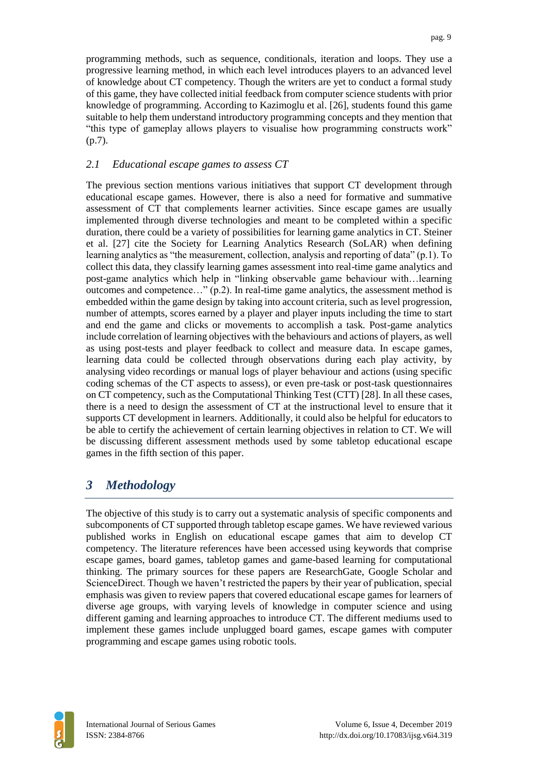programming methods, such as sequence, conditionals, iteration and loops. They use a progressive learning method, in which each level introduces players to an advanced level of knowledge about CT competency. Though the writers are yet to conduct a formal study of this game, they have collected initial feedback from computer science students with prior knowledge of programming. According to Kazimoglu et al. [\[26\],](https://www.zotero.org/google-docs/?srhEHH) students found this game suitable to help them understand introductory programming concepts and they mention that "this type of gameplay allows players to visualise how programming constructs work" (p.7).

#### *2.1 Educational escape games to assess CT*

The previous section mentions various initiatives that support CT development through educational escape games. However, there is also a need for formative and summative assessment of CT that complements learner activities. Since escape games are usually implemented through diverse technologies and meant to be completed within a specific duration, there could be a variety of possibilities for learning game analytics in CT. Steiner et al. [\[27\]](https://www.zotero.org/google-docs/?vEEsoe) cite the Society for Learning Analytics Research (SoLAR) when defining learning analytics as "the measurement, collection, analysis and reporting of data" (p.1). To collect this data, they classify learning games assessment into real-time game analytics and post-game analytics which help in "linking observable game behaviour with…learning outcomes and competence..."  $(p.2)$ . In real-time game analytics, the assessment method is embedded within the game design by taking into account criteria, such as level progression, number of attempts, scores earned by a player and player inputs including the time to start and end the game and clicks or movements to accomplish a task. Post-game analytics include correlation of learning objectives with the behaviours and actions of players, as well as using post-tests and player feedback to collect and measure data. In escape games, learning data could be collected through observations during each play activity, by analysing video recordings or manual logs of player behaviour and actions (using specific coding schemas of the CT aspects to assess), or even pre-task or post-task questionnaires on CT competency, such as the Computational Thinking Test (CTT) [\[28\].](https://www.zotero.org/google-docs/?bRnaJG) In all these cases, there is a need to design the assessment of CT at the instructional level to ensure that it supports CT development in learners. Additionally, it could also be helpful for educators to be able to certify the achievement of certain learning objectives in relation to CT. We will be discussing different assessment methods used by some tabletop educational escape games in the fifth section of this paper.

### *3 Methodology*

The objective of this study is to carry out a systematic analysis of specific components and subcomponents of CT supported through tabletop escape games. We have reviewed various published works in English on educational escape games that aim to develop CT competency. The literature references have been accessed using keywords that comprise escape games, board games, tabletop games and game-based learning for computational thinking. The primary sources for these papers are ResearchGate, Google Scholar and ScienceDirect. Though we haven't restricted the papers by their year of publication, special emphasis was given to review papers that covered educational escape games for learners of diverse age groups, with varying levels of knowledge in computer science and using different gaming and learning approaches to introduce CT. The different mediums used to implement these games include unplugged board games, escape games with computer programming and escape games using robotic tools.

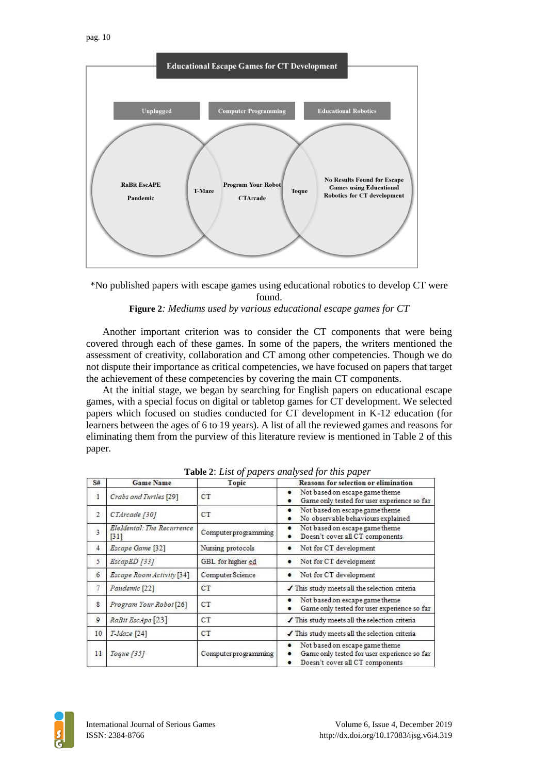

\*No published papers with escape games using educational robotics to develop CT were found.

#### **Figure 2***: Mediums used by various educational escape games for CT*

Another important criterion was to consider the CT components that were being covered through each of these games. In some of the papers, the writers mentioned the assessment of creativity, collaboration and CT among other competencies. Though we do not dispute their importance as critical competencies, we have focused on papers that target the achievement of these competencies by covering the main CT components.

At the initial stage, we began by searching for English papers on educational escape games, with a special focus on digital or tabletop games for CT development. We selected papers which focused on studies conducted for CT development in K-12 education (for learners between the ages of 6 to 19 years). A list of all the reviewed games and reasons for eliminating them from the purview of this literature review is mentioned in Table 2 of this paper.

| S#                      | <b>Game Name</b>                               | Topic                | Reasons for selection or elimination                                                                             |
|-------------------------|------------------------------------------------|----------------------|------------------------------------------------------------------------------------------------------------------|
| $\overline{1}$          | Crabs and Turtles [29]                         | CT                   | Not based on escape game theme<br>$\bullet$<br>Game only tested for user experience so far                       |
| $\overline{2}$          | CTArcade [30]                                  | CT                   | Not based on escape game theme<br>٠<br>No observable behaviours explained<br>٠                                   |
| $\overline{\mathbf{3}}$ | EleMental: The Recurrence<br>$\left[31\right]$ | Computer programming | Not based on escape game theme<br>٠<br>Doesn't cover all CT components                                           |
| $\overline{4}$          | Escape Game [32]                               | Nursing protocols    | Not for CT development<br>٠                                                                                      |
| 5                       | EscapED [33]                                   | GBL for higher ed    | Not for CT development<br>٠                                                                                      |
| 6                       | Escape Room Activity [34]                      | Computer Science     | Not for CT development                                                                                           |
|                         | Pandemic [22]                                  | CT                   | This study meets all the selection criteria                                                                      |
| 8                       | Program Your Robot [26]                        | CT                   | Not based on escape game theme<br>Game only tested for user experience so far                                    |
| 9                       | RaBit EscApe <sup>[23]</sup>                   | CT                   | This study meets all the selection criteria                                                                      |
| 10                      | $T-Maze$ [24]                                  | CT                   | This study meets all the selection criteria                                                                      |
| 11                      | Toque [35]                                     | Computer programming | Not based on escape game theme<br>Game only tested for user experience so far<br>Doesn't cover all CT components |

**Table 2**: *List of papers analysed for this paper*

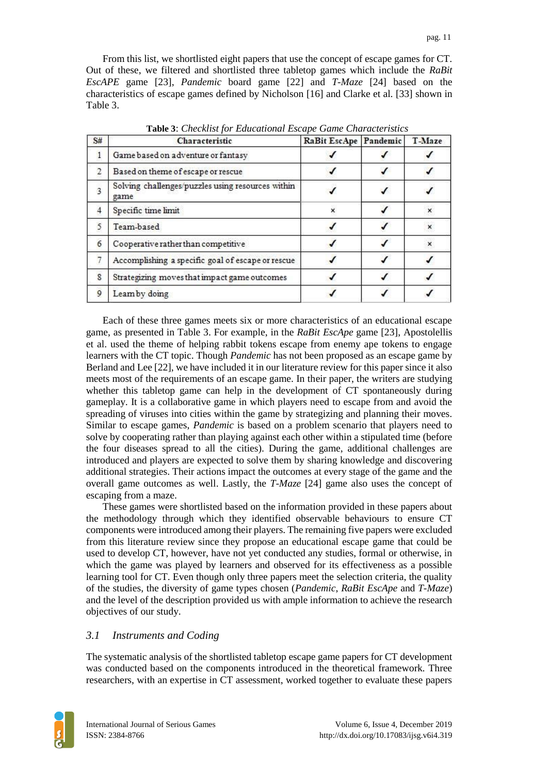From this list, we shortlisted eight papers that use the concept of escape games for CT. Out of these, we filtered and shortlisted three tabletop games which include the *RaBit EscAPE* game [\[23\],](https://www.zotero.org/google-docs/?KS2m8b) *Pandemic* board game [\[22\]](https://www.zotero.org/google-docs/?objUcE) and *T-Maze* [\[24\]](https://www.zotero.org/google-docs/?1Yjx1M) based on the characteristics of escape games defined by Nicholson [\[16\]](https://www.zotero.org/google-docs/?9oRfwr) and Clarke et al. [\[33\]](https://www.zotero.org/google-docs/?SF4Rom) shown in Table 3.

| Game based on adventure or fantasy                        |   |   |
|-----------------------------------------------------------|---|---|
|                                                           |   |   |
| Based on theme of escape or rescue                        |   |   |
| Solving challenges/puzzles using resources within<br>game |   |   |
| Specific time limit                                       | × | × |
| Team-based                                                |   | × |
| Cooperative rather than competitive                       |   | × |
| Accomplishing a specific goal of escape or rescue         |   |   |
| Strategizing moves that impact game outcomes              |   |   |
| Learnby doing                                             |   |   |
|                                                           |   |   |

**Table 3**: *Checklist for Educational Escape Game Characteristics*

Each of these three games meets six or more characteristics of an educational escape game, as presented in Table 3. For example, in the *RaBit EscApe* game [\[23\],](https://www.zotero.org/google-docs/?OWzuP5) Apostolellis et al. used the theme of helping rabbit tokens escape from enemy ape tokens to engage learners with the CT topic. Though *Pandemic* has not been proposed as an escape game by Berland and Lee [\[22\],](https://www.zotero.org/google-docs/?gEBs41) we have included it in our literature review for this paper since it also meets most of the requirements of an escape game. In their paper, the writers are studying whether this tabletop game can help in the development of CT spontaneously during gameplay. It is a collaborative game in which players need to escape from and avoid the spreading of viruses into cities within the game by strategizing and planning their moves. Similar to escape games, *Pandemic* is based on a problem scenario that players need to solve by cooperating rather than playing against each other within a stipulated time (before the four diseases spread to all the cities). During the game, additional challenges are introduced and players are expected to solve them by sharing knowledge and discovering additional strategies. Their actions impact the outcomes at every stage of the game and the overall game outcomes as well. Lastly, the *T-Maze* [\[24\]](https://www.zotero.org/google-docs/?0rKmWy) game also uses the concept of escaping from a maze.

These games were shortlisted based on the information provided in these papers about the methodology through which they identified observable behaviours to ensure CT components were introduced among their players. The remaining five papers were excluded from this literature review since they propose an educational escape game that could be used to develop CT, however, have not yet conducted any studies, formal or otherwise, in which the game was played by learners and observed for its effectiveness as a possible learning tool for CT. Even though only three papers meet the selection criteria, the quality of the studies, the diversity of game types chosen (*Pandemic*, *RaBit EscApe* and *T-Maze*) and the level of the description provided us with ample information to achieve the research objectives of our study.

#### *3.1 Instruments and Coding*

The systematic analysis of the shortlisted tabletop escape game papers for CT development was conducted based on the components introduced in the theoretical framework. Three researchers, with an expertise in CT assessment, worked together to evaluate these papers

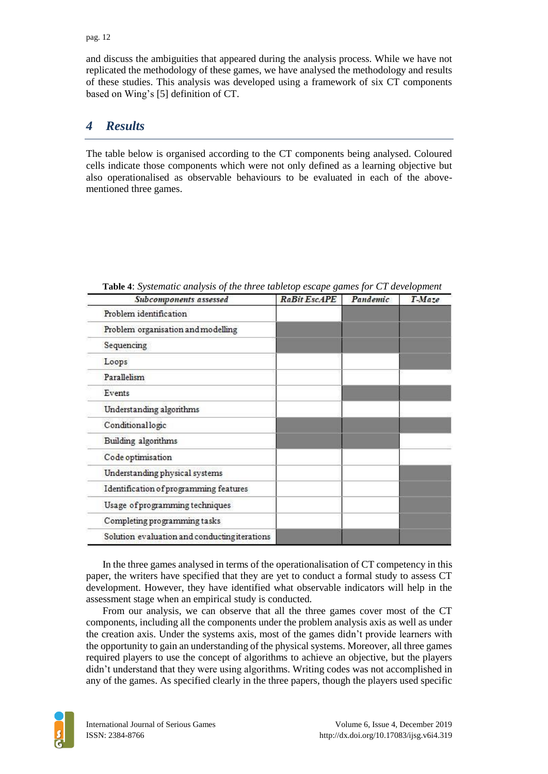and discuss the ambiguities that appeared during the analysis process. While we have not replicated the methodology of these games, we have analysed the methodology and results of these studies. This analysis was developed using a framework of six CT components based on Wing's [\[5\]](https://www.zotero.org/google-docs/?bcLRCi) definition of CT.

## *4 Results*

The table below is organised according to the CT components being analysed. Coloured cells indicate those components which were not only defined as a learning objective but also operationalised as observable behaviours to be evaluated in each of the abovementioned three games.

| Subcomponents assessed                        | <b>RaBit EscAPE</b> | Pandemic | T-Maze |
|-----------------------------------------------|---------------------|----------|--------|
| Problem identification                        |                     |          |        |
| Problem organisation and modelling            |                     |          |        |
| Sequencing                                    |                     |          |        |
| Loops                                         |                     |          |        |
| Parallelism                                   |                     |          |        |
| Events                                        |                     |          |        |
| Understanding algorithms                      |                     |          |        |
| Conditionallogic                              |                     |          |        |
| Building algorithms                           |                     |          |        |
| Code optimisation                             |                     |          |        |
| Understanding physical systems                |                     |          |        |
| Identification of programming features        |                     |          |        |
| Usage of programming techniques               |                     |          |        |
| Completing programming tasks                  |                     |          |        |
| Solution evaluation and conducting iterations |                     |          |        |

|  |  | Table 4: Systematic analysis of the three tabletop escape games for CT development |
|--|--|------------------------------------------------------------------------------------|
|  |  |                                                                                    |

In the three games analysed in terms of the operationalisation of CT competency in this paper, the writers have specified that they are yet to conduct a formal study to assess CT development. However, they have identified what observable indicators will help in the assessment stage when an empirical study is conducted.

From our analysis, we can observe that all the three games cover most of the CT components, including all the components under the problem analysis axis as well as under the creation axis. Under the systems axis, most of the games didn't provide learners with the opportunity to gain an understanding of the physical systems. Moreover, all three games required players to use the concept of algorithms to achieve an objective, but the players didn't understand that they were using algorithms. Writing codes was not accomplished in any of the games. As specified clearly in the three papers, though the players used specific

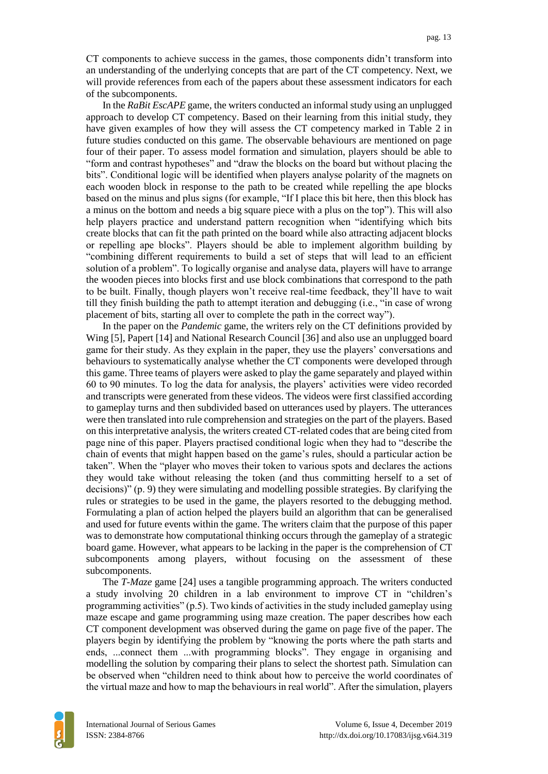CT components to achieve success in the games, those components didn't transform into an understanding of the underlying concepts that are part of the CT competency. Next, we will provide references from each of the papers about these assessment indicators for each of the subcomponents.

In the *RaBit EscAPE* game, the writers conducted an informal study using an unplugged approach to develop CT competency. Based on their learning from this initial study, they have given examples of how they will assess the CT competency marked in Table 2 in future studies conducted on this game. The observable behaviours are mentioned on page four of their paper. To assess model formation and simulation, players should be able to "form and contrast hypotheses" and "draw the blocks on the board but without placing the bits". Conditional logic will be identified when players analyse polarity of the magnets on each wooden block in response to the path to be created while repelling the ape blocks based on the minus and plus signs (for example, "If I place this bit here, then this block has a minus on the bottom and needs a big square piece with a plus on the top"). This will also help players practice and understand pattern recognition when "identifying which bits create blocks that can fit the path printed on the board while also attracting adjacent blocks or repelling ape blocks". Players should be able to implement algorithm building by "combining different requirements to build a set of steps that will lead to an efficient solution of a problem". To logically organise and analyse data, players will have to arrange the wooden pieces into blocks first and use block combinations that correspond to the path to be built. Finally, though players won't receive real-time feedback, they'll have to wait till they finish building the path to attempt iteration and debugging (i.e., "in case of wrong placement of bits, starting all over to complete the path in the correct way").

In the paper on the *Pandemic* game, the writers rely on the CT definitions provided by Win[g \[5\],](https://www.zotero.org/google-docs/?HjeKTT) Papert [\[14\]](https://www.zotero.org/google-docs/?7sZlq6) and National Research Counci[l \[36\]](https://www.zotero.org/google-docs/?AsXBd0) and also use an unplugged board game for their study. As they explain in the paper, they use the players' conversations and behaviours to systematically analyse whether the CT components were developed through this game. Three teams of players were asked to play the game separately and played within 60 to 90 minutes. To log the data for analysis, the players' activities were video recorded and transcripts were generated from these videos. The videos were first classified according to gameplay turns and then subdivided based on utterances used by players. The utterances were then translated into rule comprehension and strategies on the part of the players. Based on this interpretative analysis, the writers created CT-related codes that are being cited from page nine of this paper. Players practised conditional logic when they had to "describe the chain of events that might happen based on the game's rules, should a particular action be taken". When the "player who moves their token to various spots and declares the actions they would take without releasing the token (and thus committing herself to a set of decisions)" (p. 9) they were simulating and modelling possible strategies. By clarifying the rules or strategies to be used in the game, the players resorted to the debugging method. Formulating a plan of action helped the players build an algorithm that can be generalised and used for future events within the game. The writers claim that the purpose of this paper was to demonstrate how computational thinking occurs through the gameplay of a strategic board game. However, what appears to be lacking in the paper is the comprehension of CT subcomponents among players, without focusing on the assessment of these subcomponents.

The *T-Maze* game [\[24\]](https://www.zotero.org/google-docs/?xSwDxx) uses a tangible programming approach. The writers conducted a study involving 20 children in a lab environment to improve CT in "children's programming activities" (p.5). Two kinds of activities in the study included gameplay using maze escape and game programming using maze creation. The paper describes how each CT component development was observed during the game on page five of the paper. The players begin by identifying the problem by "knowing the ports where the path starts and ends, ...connect them ...with programming blocks". They engage in organising and modelling the solution by comparing their plans to select the shortest path. Simulation can be observed when "children need to think about how to perceive the world coordinates of the virtual maze and how to map the behaviours in real world". After the simulation, players

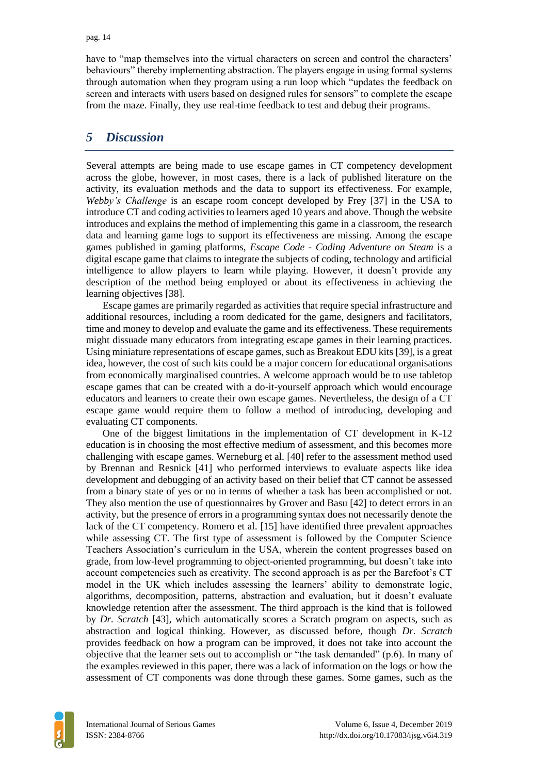have to "map themselves into the virtual characters on screen and control the characters' behaviours" thereby implementing abstraction. The players engage in using formal systems through automation when they program using a run loop which "updates the feedback on screen and interacts with users based on designed rules for sensors" to complete the escape from the maze. Finally, they use real-time feedback to test and debug their programs.

### *5 Discussion*

Several attempts are being made to use escape games in CT competency development across the globe, however, in most cases, there is a lack of published literature on the activity, its evaluation methods and the data to support its effectiveness. For example, *Webby's Challenge* is an escape room concept developed by Frey [\[37\]](https://www.zotero.org/google-docs/?CY1rnD) in the USA to introduce CT and coding activities to learners aged 10 years and above. Though the website introduces and explains the method of implementing this game in a classroom, the research data and learning game logs to support its effectiveness are missing. Among the escape games published in gaming platforms, *Escape Code - Coding Adventure on Steam* is a digital escape game that claims to integrate the subjects of coding, technology and artificial intelligence to allow players to learn while playing. However, it doesn't provide any description of the method being employed or about its effectiveness in achieving the learning objective[s \[38\].](https://www.zotero.org/google-docs/?8XXiie)

Escape games are primarily regarded as activities that require special infrastructure and additional resources, including a room dedicated for the game, designers and facilitators, time and money to develop and evaluate the game and its effectiveness. These requirements might dissuade many educators from integrating escape games in their learning practices. Using miniature representations of escape games, such as Breakout EDU kits [\[39\],](https://www.zotero.org/google-docs/?Z2gAyO) is a great idea, however, the cost of such kits could be a major concern for educational organisations from economically marginalised countries. A welcome approach would be to use tabletop escape games that can be created with a do-it-yourself approach which would encourage educators and learners to create their own escape games. Nevertheless, the design of a CT escape game would require them to follow a method of introducing, developing and evaluating CT components.

One of the biggest limitations in the implementation of CT development in K-12 education is in choosing the most effective medium of assessment, and this becomes more challenging with escape games. Werneburg et al. [\[40\]](https://www.zotero.org/google-docs/?p3AuSp) refer to the assessment method used by Brennan and Resnick [\[41\]](https://www.zotero.org/google-docs/?GJceec) who performed interviews to evaluate aspects like idea development and debugging of an activity based on their belief that CT cannot be assessed from a binary state of yes or no in terms of whether a task has been accomplished or not. They also mention the use of questionnaires by Grover and Basu [\[42\]](https://www.zotero.org/google-docs/?XXtkQj) to detect errors in an activity, but the presence of errors in a programming syntax does not necessarily denote the lack of the CT competency. Romero et al. [\[15\]](https://www.zotero.org/google-docs/?sIbUop) have identified three prevalent approaches while assessing CT. The first type of assessment is followed by the Computer Science Teachers Association's curriculum in the USA, wherein the content progresses based on grade, from low-level programming to object-oriented programming, but doesn't take into account competencies such as creativity. The second approach is as per the Barefoot's CT model in the UK which includes assessing the learners' ability to demonstrate logic, algorithms, decomposition, patterns, abstraction and evaluation, but it doesn't evaluate knowledge retention after the assessment. The third approach is the kind that is followed by *Dr. Scratch* [\[43\],](https://www.zotero.org/google-docs/?igJDro) which automatically scores a Scratch program on aspects, such as abstraction and logical thinking. However, as discussed before, though *Dr. Scratch* provides feedback on how a program can be improved, it does not take into account the objective that the learner sets out to accomplish or "the task demanded" (p.6). In many of the examples reviewed in this paper, there was a lack of information on the logs or how the assessment of CT components was done through these games. Some games, such as the

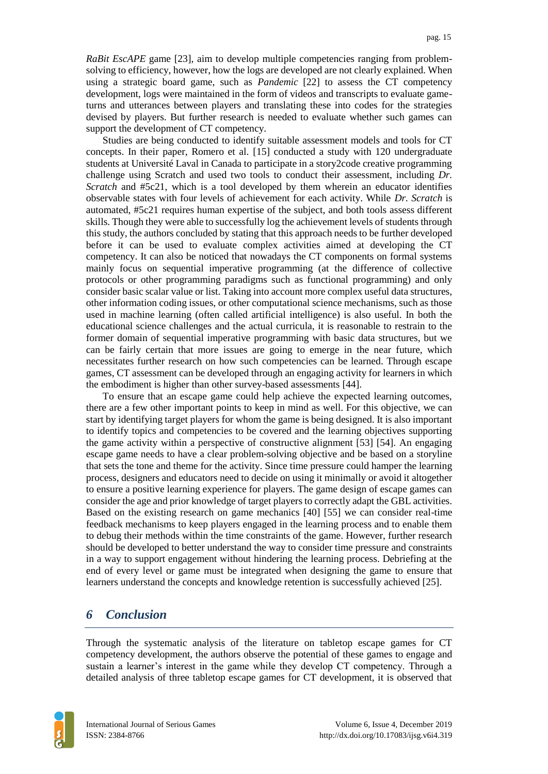*RaBit EscAPE* game [\[23\],](https://www.zotero.org/google-docs/?WmJx4B) aim to develop multiple competencies ranging from problemsolving to efficiency, however, how the logs are developed are not clearly explained. When using a strategic board game, such as *Pandemic* [\[22\]](https://www.zotero.org/google-docs/?vlHK9d) to assess the CT competency development, logs were maintained in the form of videos and transcripts to evaluate gameturns and utterances between players and translating these into codes for the strategies devised by players. But further research is needed to evaluate whether such games can support the development of CT competency.

Studies are being conducted to identify suitable assessment models and tools for CT concepts. In their paper, Romero et al. [\[15\]](https://www.zotero.org/google-docs/?SbE4nL) conducted a study with 120 undergraduate students at Université Laval in Canada to participate in a story2code creative programming challenge using Scratch and used two tools to conduct their assessment, including *Dr. Scratch* and #5c21, which is a tool developed by them wherein an educator identifies observable states with four levels of achievement for each activity. While *Dr. Scratch* is automated, #5c21 requires human expertise of the subject, and both tools assess different skills. Though they were able to successfully log the achievement levels of students through this study, the authors concluded by stating that this approach needs to be further developed before it can be used to evaluate complex activities aimed at developing the CT competency. It can also be noticed that nowadays the CT components on formal systems mainly focus on sequential imperative programming (at the difference of collective protocols or other programming paradigms such as functional programming) and only consider basic scalar value or list. Taking into account more complex useful data structures, other information coding issues, or other computational science mechanisms, such as those used in machine learning (often called artificial intelligence) is also useful. In both the educational science challenges and the actual curricula, it is reasonable to restrain to the former domain of sequential imperative programming with basic data structures, but we can be fairly certain that more issues are going to emerge in the near future, which necessitates further research on how such competencies can be learned. Through escape games, CT assessment can be developed through an engaging activity for learners in which the embodiment is higher than other survey-based assessments [\[44\].](https://www.zotero.org/google-docs/?4wnxk8)

To ensure that an escape game could help achieve the expected learning outcomes, there are a few other important points to keep in mind as well. For this objective, we can start by identifying target players for whom the game is being designed. It is also important to identify topics and competencies to be covered and the learning objectives supporting the game activity within a perspective of constructive alignment [53] [54]. An engaging escape game needs to have a clear problem-solving objective and be based on a storyline that sets the tone and theme for the activity. Since time pressure could hamper the learning process, designers and educators need to decide on using it minimally or avoid it altogether to ensure a positive learning experience for players. The game design of escape games can consider the age and prior knowledge of target players to correctly adapt the GBL activities. Based on the existing research on game mechanics [40] [55] we can consider real-time feedback mechanisms to keep players engaged in the learning process and to enable them to debug their methods within the time constraints of the game. However, further research should be developed to better understand the way to consider time pressure and constraints in a way to support engagement without hindering the learning process. Debriefing at the end of every level or game must be integrated when designing the game to ensure that learners understand the concepts and knowledge retention is successfully achieved [25].

### *6 Conclusion*

Through the systematic analysis of the literature on tabletop escape games for CT competency development, the authors observe the potential of these games to engage and sustain a learner's interest in the game while they develop CT competency. Through a detailed analysis of three tabletop escape games for CT development, it is observed that

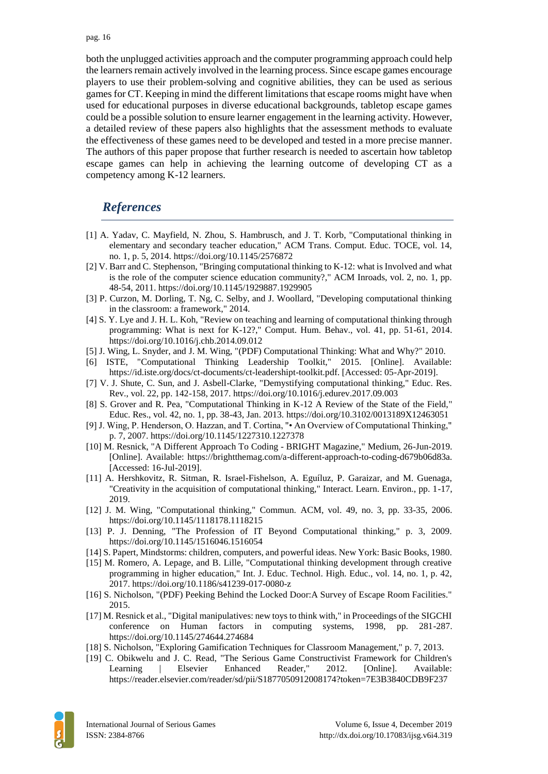both the unplugged activities approach and the computer programming approach could help the learners remain actively involved in the learning process. Since escape games encourage players to use their problem-solving and cognitive abilities, they can be used as serious games for CT. Keeping in mind the different limitations that escape rooms might have when used for educational purposes in diverse educational backgrounds, tabletop escape games could be a possible solution to ensure learner engagement in the learning activity. However, a detailed review of these papers also highlights that the assessment methods to evaluate the effectiveness of these games need to be developed and tested in a more precise manner. The authors of this paper propose that further research is needed to ascertain how tabletop escape games can help in achieving the learning outcome of developing CT as a competency among K-12 learners.

## *References*

- [1] A. Yadav, C. Mayfield, N. Zhou, S. Hambrusch, and J. T. Korb, "Computational thinking in elementary and secondary teacher education," ACM Trans. Comput. Educ. TOCE, vol. 14, no. 1, p. 5, 2014. https://doi.org/10.1145/2576872
- [2] V. Barr and C. Stephenson, "Bringing computational thinking to K-12: what is Involved and what is the role of the computer science education community?," ACM Inroads, vol. 2, no. 1, pp. 48-54, 2011. https://doi.org/10.1145/1929887.1929905
- [3] P. Curzon, M. Dorling, T. Ng, C. Selby, and J. Woollard, "Developing computational thinking in the classroom: a framework," 2014.
- [4] S. Y. Lye and J. H. L. Koh, "Review on teaching and learning of computational thinking through programming: What is next for K-12?," Comput. Hum. Behav., vol. 41, pp. 51-61, 2014. https://doi.org/10.1016/j.chb.2014.09.012
- [5] J. Wing, L. Snyder, and J. M. Wing, "(PDF) Computational Thinking: What and Why?" 2010.
- [6] ISTE, "Computational Thinking Leadership Toolkit," 2015. [Online]. Available: https://id.iste.org/docs/ct-documents/ct-leadershipt-toolkit.pdf. [Accessed: 05-Apr-2019].
- [7] V. J. Shute, C. Sun, and J. Asbell-Clarke, "Demystifying computational thinking," Educ. Res. Rev., vol. 22, pp. 142-158, 2017. https://doi.org/10.1016/j.edurev.2017.09.003
- [8] S. Grover and R. Pea, "Computational Thinking in K-12 A Review of the State of the Field," Educ. Res., vol. 42, no. 1, pp. 38-43, Jan. 2013. https://doi.org/10.3102/0013189X12463051
- [9] J. Wing, P. Henderson, O. Hazzan, and T. Cortina, "• An Overview of Computational Thinking," p. 7, 2007. https://doi.org/10.1145/1227310.1227378
- [10] M. Resnick, "A Different Approach To Coding BRIGHT Magazine," Medium, 26-Jun-2019. [Online]. Available: https://brightthemag.com/a-different-approach-to-coding-d679b06d83a. [Accessed: 16-Jul-2019].
- [11] A. Hershkovitz, R. Sitman, R. Israel-Fishelson, A. Eguíluz, P. Garaizar, and M. Guenaga, "Creativity in the acquisition of computational thinking," Interact. Learn. Environ., pp. 1-17, 2019.
- [12] J. M. Wing, "Computational thinking," Commun. ACM, vol. 49, no. 3, pp. 33-35, 2006. https://doi.org/10.1145/1118178.1118215
- [13] P. J. Denning, "The Profession of IT Beyond Computational thinking," p. 3, 2009. https://doi.org/10.1145/1516046.1516054
- [14] S. Papert, Mindstorms: children, computers, and powerful ideas. New York: Basic Books, 1980.
- [15] M. Romero, A. Lepage, and B. Lille, "Computational thinking development through creative programming in higher education," Int. J. Educ. Technol. High. Educ., vol. 14, no. 1, p. 42, 2017. https://doi.org/10.1186/s41239-017-0080-z
- [16] S. Nicholson, "(PDF) Peeking Behind the Locked Door:A Survey of Escape Room Facilities." 2015.
- [17] M. Resnick et al., "Digital manipulatives: new toys to think with," in Proceedings of the SIGCHI conference on Human factors in computing systems, 1998, pp. 281-287. https://doi.org/10.1145/274644.274684
- [18] S. Nicholson, "Exploring Gamification Techniques for Classroom Management," p. 7, 2013.
- [19] C. Obikwelu and J. C. Read, "The Serious Game Constructivist Framework for Children's Learning | Elsevier Enhanced Reader," 2012. [Online]. Available: https://reader.elsevier.com/reader/sd/pii/S1877050912008174?token=7E3B3840CDB9F237

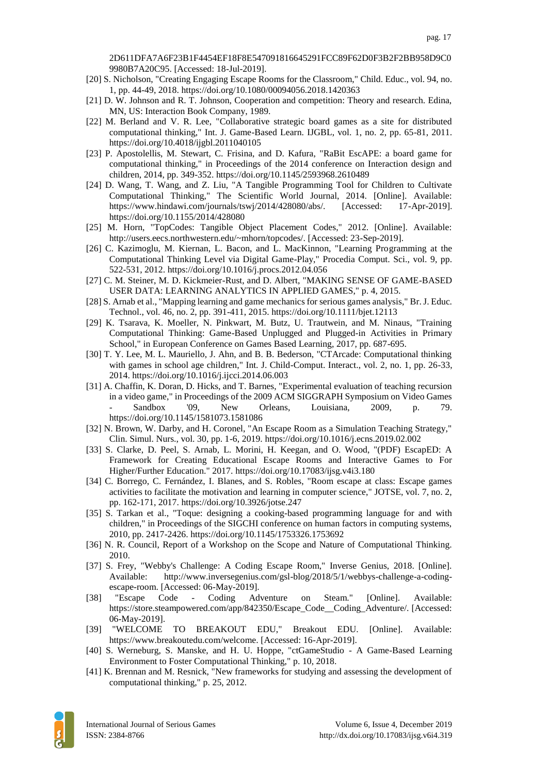2D611DFA7A6F23B1F4454EF18F8E547091816645291FCC89F62D0F3B2F2BB958D9C0 9980B7A20C95. [Accessed: 18-Jul-2019].

- [20] S. Nicholson, "Creating Engaging Escape Rooms for the Classroom," Child. Educ., vol. 94, no. 1, pp. 44-49, 2018. https://doi.org/10.1080/00094056.2018.1420363
- [21] D. W. Johnson and R. T. Johnson, Cooperation and competition: Theory and research. Edina, MN, US: Interaction Book Company, 1989.
- [22] M. Berland and V. R. Lee, "Collaborative strategic board games as a site for distributed computational thinking," Int. J. Game-Based Learn. IJGBL, vol. 1, no. 2, pp. 65-81, 2011. https://doi.org/10.4018/ijgbl.2011040105
- [23] P. Apostolellis, M. Stewart, C. Frisina, and D. Kafura, "RaBit EscAPE: a board game for computational thinking," in Proceedings of the 2014 conference on Interaction design and children, 2014, pp. 349-352. https://doi.org/10.1145/2593968.2610489
- [24] D. Wang, T. Wang, and Z. Liu, "A Tangible Programming Tool for Children to Cultivate Computational Thinking," The Scientific World Journal, 2014. [Online]. Available: https://www.hindawi.com/journals/tswj/2014/428080/abs/. [Accessed: 17-Apr-2019]. https://doi.org/10.1155/2014/428080
- [25] M. Horn, "TopCodes: Tangible Object Placement Codes," 2012. [Online]. Available: http://users.eecs.northwestern.edu/~mhorn/topcodes/. [Accessed: 23-Sep-2019].
- [26] C. Kazimoglu, M. Kiernan, L. Bacon, and L. MacKinnon, "Learning Programming at the Computational Thinking Level via Digital Game-Play," Procedia Comput. Sci., vol. 9, pp. 522-531, 2012. https://doi.org/10.1016/j.procs.2012.04.056
- [27] C. M. Steiner, M. D. Kickmeier-Rust, and D. Albert, "MAKING SENSE OF GAME-BASED USER DATA: LEARNING ANALYTICS IN APPLIED GAMES," p. 4, 2015.
- [28] S. Arnab et al., "Mapping learning and game mechanics for serious games analysis," Br. J. Educ. Technol., vol. 46, no. 2, pp. 391-411, 2015. https://doi.org/10.1111/bjet.12113
- [29] K. Tsarava, K. Moeller, N. Pinkwart, M. Butz, U. Trautwein, and M. Ninaus, "Training Computational Thinking: Game-Based Unplugged and Plugged-in Activities in Primary School," in European Conference on Games Based Learning, 2017, pp. 687-695.
- [30] T. Y. Lee, M. L. Mauriello, J. Ahn, and B. B. Bederson, "CTArcade: Computational thinking with games in school age children," Int. J. Child-Comput. Interact., vol. 2, no. 1, pp. 26-33, 2014. https://doi.org/10.1016/j.ijcci.2014.06.003
- [31] A. Chaffin, K. Doran, D. Hicks, and T. Barnes, "Experimental evaluation of teaching recursion in a video game," in Proceedings of the 2009 ACM SIGGRAPH Symposium on Video Games - Sandbox '09, New Orleans, Louisiana, 2009, p. 79. https://doi.org/10.1145/1581073.1581086
- [32] N. Brown, W. Darby, and H. Coronel, "An Escape Room as a Simulation Teaching Strategy," Clin. Simul. Nurs., vol. 30, pp. 1-6, 2019. https://doi.org/10.1016/j.ecns.2019.02.002
- [33] S. Clarke, D. Peel, S. Arnab, L. Morini, H. Keegan, and O. Wood, "(PDF) EscapED: A Framework for Creating Educational Escape Rooms and Interactive Games to For Higher/Further Education." 2017. https://doi.org/10.17083/ijsg.v4i3.180
- [34] C. Borrego, C. Fernández, I. Blanes, and S. Robles, "Room escape at class: Escape games activities to facilitate the motivation and learning in computer science," JOTSE, vol. 7, no. 2, pp. 162-171, 2017. https://doi.org/10.3926/jotse.247
- [35] S. Tarkan et al., "Toque: designing a cooking-based programming language for and with children," in Proceedings of the SIGCHI conference on human factors in computing systems, 2010, pp. 2417-2426. https://doi.org/10.1145/1753326.1753692
- [36] N. R. Council, Report of a Workshop on the Scope and Nature of Computational Thinking. 2010.
- [37] S. Frey, "Webby's Challenge: A Coding Escape Room," Inverse Genius, 2018. [Online]. Available: http://www.inversegenius.com/gsl-blog/2018/5/1/webbys-challenge-a-codingescape-room. [Accessed: 06-May-2019].
- [38] "Escape Code Coding Adventure on Steam." [Online]. Available: https://store.steampowered.com/app/842350/Escape\_Code\_\_Coding\_Adventure/. [Accessed: 06-May-2019].
- [39] "WELCOME TO BREAKOUT EDU," Breakout EDU. [Online]. Available: https://www.breakoutedu.com/welcome. [Accessed: 16-Apr-2019].
- [40] S. Werneburg, S. Manske, and H. U. Hoppe, "ctGameStudio A Game-Based Learning Environment to Foster Computational Thinking," p. 10, 2018.
- [41] K. Brennan and M. Resnick, "New frameworks for studying and assessing the development of computational thinking," p. 25, 2012.